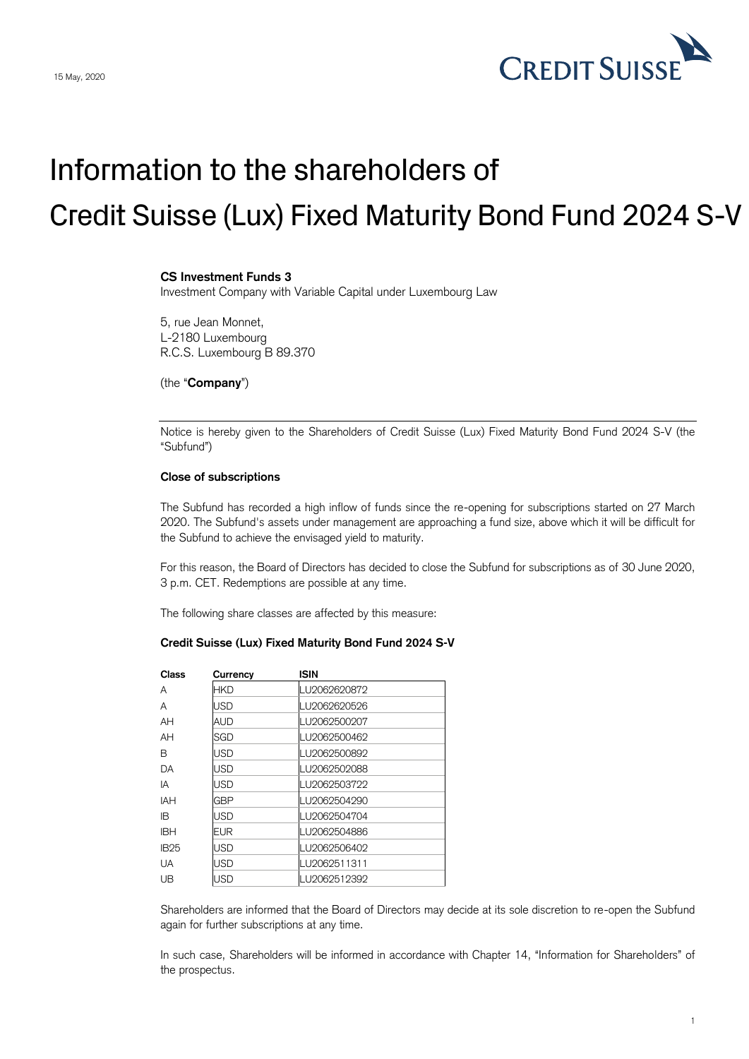

## Information to the shareholders of Credit Suisse (Lux) Fixed Maturity Bond Fund 2024 S-V

## **CS Investment Funds 3**

Investment Company with Variable Capital under Luxembourg Law

5, rue Jean Monnet, L-2180 Luxembourg R.C.S. Luxembourg B 89.370

(the "**Company**")

Notice is hereby given to the Shareholders of Credit Suisse (Lux) Fixed Maturity Bond Fund 2024 S-V (the "Subfund")

## **Close of subscriptions**

The Subfund has recorded a high inflow of funds since the re-opening for subscriptions started on 27 March 2020. The Subfund's assets under management are approaching a fund size, above which it will be difficult for the Subfund to achieve the envisaged yield to maturity.

For this reason, the Board of Directors has decided to close the Subfund for subscriptions as of 30 June 2020, 3 p.m. CET. Redemptions are possible at any time.

The following share classes are affected by this measure:

## **Credit Suisse (Lux) Fixed Maturity Bond Fund 2024 S-V**

| Class       | Currency   | <b>ISIN</b>  |
|-------------|------------|--------------|
| A           | <b>HKD</b> | LU2062620872 |
| A           | USD        | LU2062620526 |
| AH          | AUD        | LU2062500207 |
| AH          | SGD        | LU2062500462 |
| B           | <b>USD</b> | LU2062500892 |
| DA          | USD        | LU2062502088 |
| IA          | USD        | LU2062503722 |
| <b>IAH</b>  | GBP        | LU2062504290 |
| IB.         | USD        | LU2062504704 |
| <b>IBH</b>  | <b>EUR</b> | LU2062504886 |
| <b>IB25</b> | USD        | LU2062506402 |
| UA          | USD        | LU2062511311 |
| UB          | <b>JSD</b> | LU2062512392 |

Shareholders are informed that the Board of Directors may decide at its sole discretion to re-open the Subfund again for further subscriptions at any time.

In such case, Shareholders will be informed in accordance with Chapter 14, "Information for Shareholders" of the prospectus.